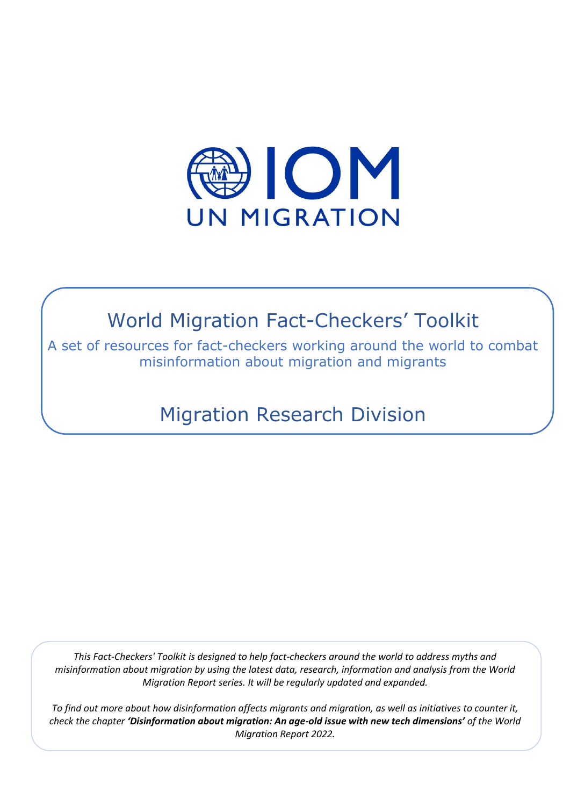

# World Migration Fact-Checkers' Toolkit

A set of resources for fact-checkers working around the world to combat misinformation about migration and migrants

Migration Research Division

*This Fact-Checkers' Toolkit is designed to help fact-checkers around the world to address myths and misinformation about migration by using the latest data, research, information and analysis from the World Migration Report series. It will be regularly updated and expanded.* 

*To find out more about how disinformation affects migrants and migration, as well as initiatives to counter it, check the chapter 'Disinformation about migration: An age-old issue with new tech dimensions' of the World Migration Report 2022.*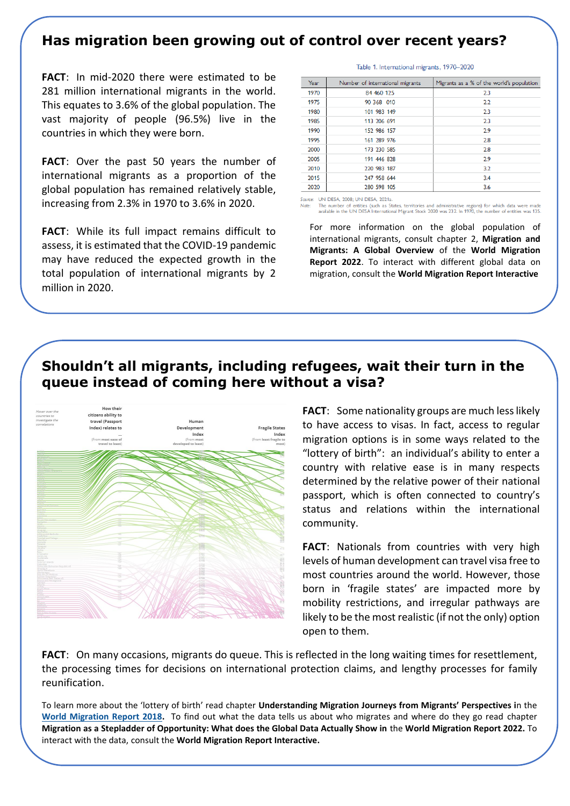#### **Has migration been growing out of control over recent years?**

**FACT**: In mid-2020 there were estimated to be 281 million international migrants in the world. This equates to 3.6% of the global population. The vast majority of people (96.5%) live in the countries in which they were born.

**FACT**: Over the past 50 years the number of international migrants as a proportion of the global population has remained relatively stable, increasing from 2.3% in 1970 to 3.6% in 2020.

**FACT**: While its full impact remains difficult to assess, it is estimated that the COVID-19 pandemic may have reduced the expected growth in the total population of international migrants by 2 million in 2020.

| Year | Number of international migrants | Migrants as a % of the world's population |
|------|----------------------------------|-------------------------------------------|
| 1970 | 84 460 125                       | 2.3                                       |
| 1975 | 90 368 010                       | 2.2                                       |
| 1980 | 101 983 149                      | 2.3                                       |
| 1985 | 113 206 691                      | 2.3                                       |
| 1990 | 152 986 157                      | 2.9                                       |
| 1995 | 161 289 976                      | 2.8                                       |
| 2000 | 173 230 585                      | 2.8                                       |
| 2005 | 191 446 828                      | 2.9                                       |
| 2010 | 220 983 187                      | 3.2                                       |
| 2015 | 247 958 644                      | 3.4                                       |
| 2020 | 280 598 105                      | 3.6                                       |

Table 1. International migrants, 1970-2020

urce: UN DESA, 2008: UN DESA, 2021a

Note: The number of entities (such as States, territories and administrative regions) for which data were made available in the UN DESA International Migrant Stock 2020 was 232. In 1970, the number of entities was 135.

For more information on the global population of international migrants, consult chapter 2, **Migration and Migrants: A Global Overview** of the **World Migration Report 2022**. To interact with different global data on migration, consult the **World Migration Report Interactive**

#### **Shouldn't all migrants, including refugees, wait their turn in the queue instead of coming here without a visa?**



**FACT**: Some nationality groups are much less likely to have access to visas. In fact, access to regular migration options is in some ways related to the "lottery of birth": an individual's ability to enter a country with relative ease is in many respects determined by the relative power of their national passport, which is often connected to country's status and relations within the international community.

**FACT**: Nationals from countries with very high levels of human development can travel visa free to most countries around the world. However, those born in 'fragile states' are impacted more by mobility restrictions, and irregular pathways are likely to be the most realistic (if not the only) option open to them.

**FACT**: On many occasions, migrants do queue. This is reflected in the long waiting times for resettlement, the processing times for decisions on international protection claims, and lengthy processes for family reunification.

To learn more about the 'lottery of birth' read chapter **Understanding Migration Journeys from Migrants' Perspectives i**n the **[World Migration Report 2018.](https://publications.iom.int/books/world-migration-report-2018)** To find out what the data tells us about who migrates and where do they go read chapter **Migration as a Stepladder of Opportunity: What does the Global Data Actually Show in** the **World Migration Report 2022.** To interact with the data, consult the **World Migration Report Interactive.**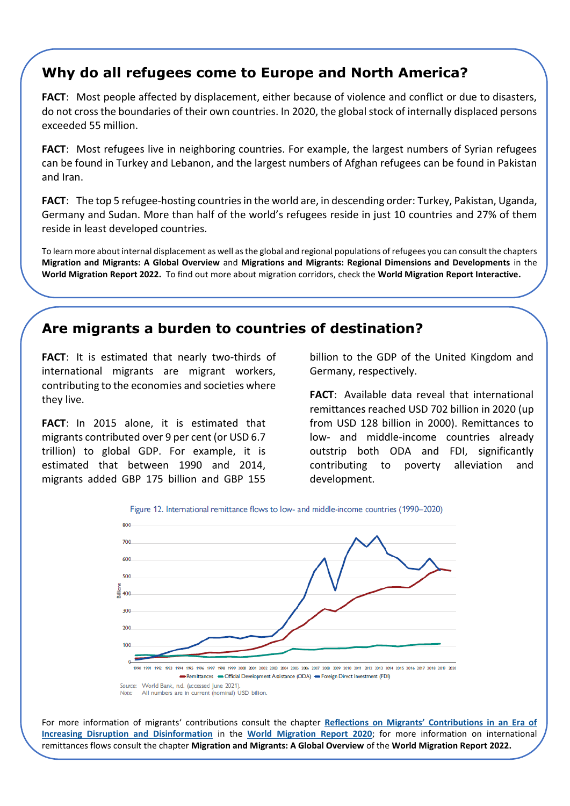# **Why do all refugees come to Europe and North America?**

**FACT**: Most people affected by displacement, either because of violence and conflict or due to disasters, do not cross the boundaries of their own countries. In 2020, the global stock of internally displaced persons exceeded 55 million.

**FACT**: Most refugees live in neighboring countries. For example, the largest numbers of Syrian refugees can be found in Turkey and Lebanon, and the largest numbers of Afghan refugees can be found in Pakistan and Iran.

**FACT**: The top 5 refugee-hosting countries in the world are, in descending order: Turkey, Pakistan, Uganda, Germany and Sudan. More than half of the world's refugees reside in just 10 countries and 27% of them reside in least developed countries.

To learn more about internal displacement as well as the global and regional populations of refugees you can consult the chapters **Migration and Migrants: A Global Overview** and **Migrations and Migrants: Regional Dimensions and Developments** in the **World Migration Report 2022.** To find out more about migration corridors, check the **World Migration Report Interactive.**

## **Are migrants a burden to countries of destination?**

**FACT**: It is estimated that nearly two-thirds of international migrants are migrant workers, contributing to the economies and societies where they live.

**FACT**: In 2015 alone, it is estimated that migrants contributed over 9 per cent (or USD 6.7 trillion) to global GDP. For example, it is estimated that between 1990 and 2014, migrants added GBP 175 billion and GBP 155

billion to the GDP of the United Kingdom and Germany, respectively.

**FACT**: Available data reveal that international remittances reached USD 702 billion in 2020 (up from USD 128 billion in 2000). Remittances to low- and middle-income countries already outstrip both ODA and FDI, significantly contributing to poverty alleviation and development.





For more information of migrants' contributions consult the chapter **[Reflections on Migrants' Contributions in an Era of](https://publications.iom.int/books/world-migration-report-2020-chapter-5)  [Increasing Disruption and Disinformation](https://publications.iom.int/books/world-migration-report-2020-chapter-5)** in the **[World Migration Report 2020](https://publications.iom.int/books/world-migration-report-2020)**; for more information on international remittances flows consult the chapter **Migration and Migrants: A Global Overview** of the **World Migration Report 2022.**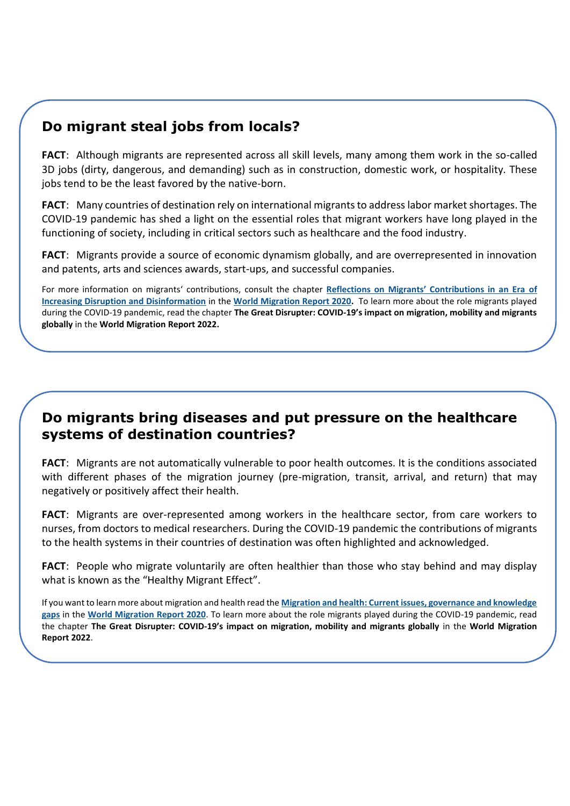## **Do migrant steal jobs from locals?**

**FACT**: Although migrants are represented across all skill levels, many among them work in the so-called 3D jobs (dirty, dangerous, and demanding) such as in construction, domestic work, or hospitality. These jobs tend to be the least favored by the native-born.

**FACT**: Many countries of destination rely on international migrants to address labor market shortages. The COVID-19 pandemic has shed a light on the essential roles that migrant workers have long played in the functioning of society, including in critical sectors such as healthcare and the food industry.

**FACT**: Migrants provide a source of economic dynamism globally, and are overrepresented in innovation and patents, arts and sciences awards, start-ups, and successful companies.

For more information on migrants' contributions, consult the chapter **[Reflections on Migrants' Contributions in an Era](https://publications.iom.int/books/world-migration-report-2020-chapter-5) of [Increasing Disruption and Disinformation](https://publications.iom.int/books/world-migration-report-2020-chapter-5)** in the **[World Migration Report 2020.](https://publications.iom.int/books/world-migration-report-2020)** To learn more about the role migrants played during the COVID-19 pandemic, read the chapter **The Great Disrupter: COVID-19's impact on migration, mobility and migrants globally** in the **World Migration Report 2022.**

#### **Do migrants bring diseases and put pressure on the healthcare systems of destination countries?**

**FACT**: Migrants are not automatically vulnerable to poor health outcomes. It is the conditions associated with different phases of the migration journey (pre-migration, transit, arrival, and return) that may negatively or positively affect their health.

**FACT**: Migrants are over-represented among workers in the healthcare sector, from care workers to nurses, from doctors to medical researchers. During the COVID-19 pandemic the contributions of migrants to the health systems in their countries of destination was often highlighted and acknowledged.

**FACT**: People who migrate voluntarily are often healthier than those who stay behind and may display what is known as the "Healthy Migrant Effect".

If you want to learn more about migration and health read the **[Migration and health: Current issues, governance and knowledge](https://publications.iom.int/books/world-migration-report-2020-chapter-7)  [gaps](https://publications.iom.int/books/world-migration-report-2020-chapter-7)** in the **[World Migration Report 2020](https://publications.iom.int/books/world-migration-report-2020)**. To learn more about the role migrants played during the COVID-19 pandemic, read the chapter **The Great Disrupter: COVID-19's impact on migration, mobility and migrants globally** in the **World Migration Report 2022**.